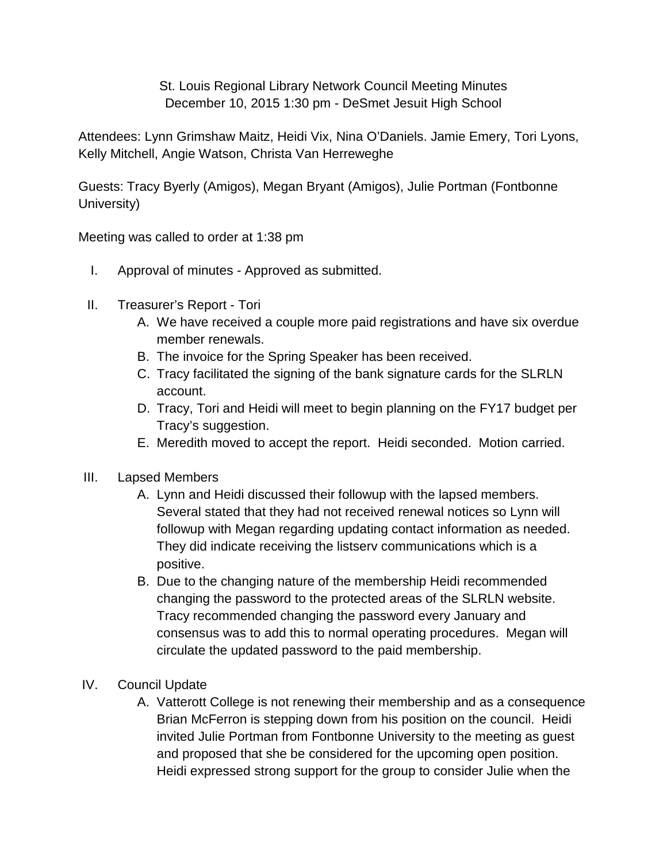St. Louis Regional Library Network Council Meeting Minutes December 10, 2015 1:30 pm - DeSmet Jesuit High School

Attendees: Lynn Grimshaw Maitz, Heidi Vix, Nina O'Daniels. Jamie Emery, Tori Lyons, Kelly Mitchell, Angie Watson, Christa Van Herreweghe

Guests: Tracy Byerly (Amigos), Megan Bryant (Amigos), Julie Portman (Fontbonne University)

Meeting was called to order at 1:38 pm

- I. Approval of minutes Approved as submitted.
- II. Treasurer's Report Tori
	- A. We have received a couple more paid registrations and have six overdue member renewals.
	- B. The invoice for the Spring Speaker has been received.
	- C. Tracy facilitated the signing of the bank signature cards for the SLRLN account.
	- D. Tracy, Tori and Heidi will meet to begin planning on the FY17 budget per Tracy's suggestion.
	- E. Meredith moved to accept the report. Heidi seconded. Motion carried.
- III. Lapsed Members
	- A. Lynn and Heidi discussed their followup with the lapsed members. Several stated that they had not received renewal notices so Lynn will followup with Megan regarding updating contact information as needed. They did indicate receiving the listserv communications which is a positive.
	- B. Due to the changing nature of the membership Heidi recommended changing the password to the protected areas of the SLRLN website. Tracy recommended changing the password every January and consensus was to add this to normal operating procedures. Megan will circulate the updated password to the paid membership.
- IV. Council Update
	- A. Vatterott College is not renewing their membership and as a consequence Brian McFerron is stepping down from his position on the council. Heidi invited Julie Portman from Fontbonne University to the meeting as guest and proposed that she be considered for the upcoming open position. Heidi expressed strong support for the group to consider Julie when the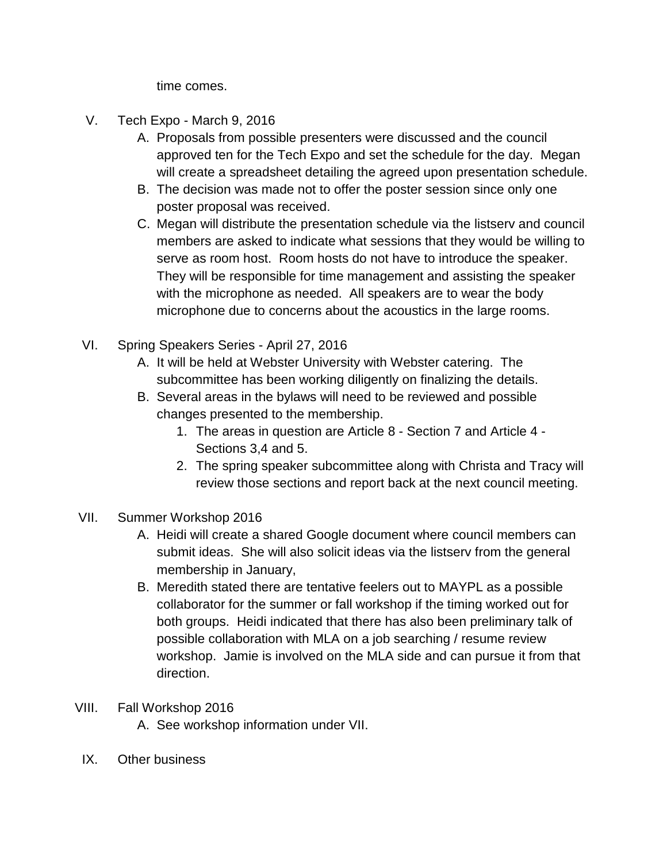time comes.

- V. Tech Expo March 9, 2016
	- A. Proposals from possible presenters were discussed and the council approved ten for the Tech Expo and set the schedule for the day. Megan will create a spreadsheet detailing the agreed upon presentation schedule.
	- B. The decision was made not to offer the poster session since only one poster proposal was received.
	- C. Megan will distribute the presentation schedule via the listserv and council members are asked to indicate what sessions that they would be willing to serve as room host. Room hosts do not have to introduce the speaker. They will be responsible for time management and assisting the speaker with the microphone as needed. All speakers are to wear the body microphone due to concerns about the acoustics in the large rooms.
- VI. Spring Speakers Series April 27, 2016
	- A. It will be held at Webster University with Webster catering. The subcommittee has been working diligently on finalizing the details.
	- B. Several areas in the bylaws will need to be reviewed and possible changes presented to the membership.
		- 1. The areas in question are Article 8 Section 7 and Article 4 Sections 3,4 and 5.
		- 2. The spring speaker subcommittee along with Christa and Tracy will review those sections and report back at the next council meeting.
- VII. Summer Workshop 2016
	- A. Heidi will create a shared Google document where council members can submit ideas. She will also solicit ideas via the listserv from the general membership in January,
	- B. Meredith stated there are tentative feelers out to MAYPL as a possible collaborator for the summer or fall workshop if the timing worked out for both groups. Heidi indicated that there has also been preliminary talk of possible collaboration with MLA on a job searching / resume review workshop. Jamie is involved on the MLA side and can pursue it from that direction.
- VIII. Fall Workshop 2016
	- A. See workshop information under VII.
	- IX. Other business